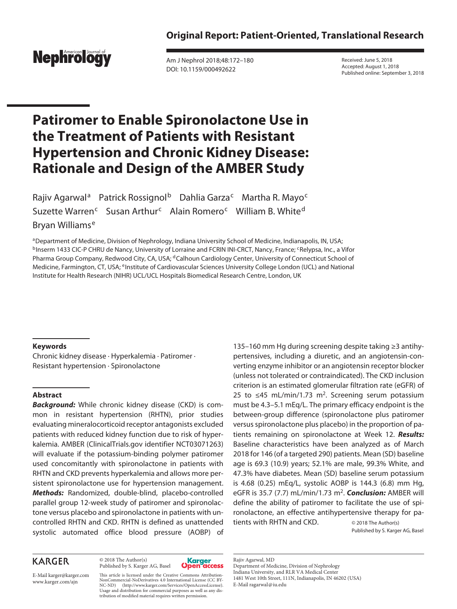

Am J Nephrol 2018;48:172–180 DOI: 10.1159/000492622

Received: June 5, 2018 Accepted: August 1, 2018 Published online: September 3, 2018

# **Patiromer to Enable Spironolactone Use in the Treatment of Patients with Resistant Hypertension and Chronic Kidney Disease: Rationale and Design of the AMBER Study**

Rajiv Agarwal<sup>a</sup> Patrick Rossignol<sup>b</sup> Dahlia Garza<sup>c</sup> Martha R. Mayo<sup>c</sup> Suzette Warren<sup>c</sup> Susan Arthur<sup>c</sup> Alain Romero<sup>c</sup> William B. White<sup>d</sup> Bryan Williams<sup>e</sup>

aDepartment of Medicine, Division of Nephrology, Indiana University School of Medicine, Indianapolis, IN, USA; <sup>b</sup>Inserm 1433 CIC-P CHRU de Nancy, University of Lorraine and FCRIN INI-CRCT, Nancy, France; <sup>c</sup>Relypsa, Inc., a Vifor Pharma Group Company, Redwood City, CA, USA; <sup>d</sup>Calhoun Cardiology Center, University of Connecticut School of Medicine, Farmington, CT, USA; eInstitute of Cardiovascular Sciences University College London (UCL) and National Institute for Health Research (NIHR) UCL/UCL Hospitals Biomedical Research Centre, London, UK

## **Keywords**

Chronic kidney disease · Hyperkalemia · Patiromer · Resistant hypertension · Spironolactone

## **Abstract**

*Background:* While chronic kidney disease (CKD) is common in resistant hypertension (RHTN), prior studies evaluating mineralocorticoid receptor antagonists excluded patients with reduced kidney function due to risk of hyperkalemia. AMBER (ClinicalTrials.gov identifier NCT03071263) will evaluate if the potassium-binding polymer patiromer used concomitantly with spironolactone in patients with RHTN and CKD prevents hyperkalemia and allows more persistent spironolactone use for hypertension management. *Methods:* Randomized, double-blind, placebo-controlled parallel group 12-week study of patiromer and spironolactone versus placebo and spironolactone in patients with uncontrolled RHTN and CKD. RHTN is defined as unattended systolic automated office blood pressure (AOBP) of

## **KARGER**

© 2018 The Author(s) Published by S. Karger AG, Basel



135–160 mm Hg during screening despite taking ≥3 antihypertensives, including a diuretic, and an angiotensin-converting enzyme inhibitor or an angiotensin receptor blocker (unless not tolerated or contraindicated). The CKD inclusion criterion is an estimated glomerular filtration rate (eGFR) of 25 to ≤45 mL/min/1.73 m<sup>2</sup>. Screening serum potassium must be 4.3–5.1 mEq/L. The primary efficacy endpoint is the between-group difference (spironolactone plus patiromer versus spironolactone plus placebo) in the proportion of patients remaining on spironolactone at Week 12. *Results:* Baseline characteristics have been analyzed as of March 2018 for 146 (of a targeted 290) patients. Mean (SD) baseline age is 69.3 (10.9) years; 52.1% are male, 99.3% White, and 47.3% have diabetes. Mean (SD) baseline serum potassium is 4.68 (0.25) mEq/L, systolic AOBP is 144.3 (6.8) mm Hg, eGFR is 35.7 (7.7) mL/min/1.73 m2. *Conclusion:* AMBER will define the ability of patiromer to facilitate the use of spironolactone, an effective antihypertensive therapy for patients with RHTN and CKD. © 2018 The Author(s)

Published by S. Karger AG, Basel

Rajiv Agarwal, MD Department of Medicine, Division of Nephrology Indiana University, and RLR VA Medical Center 1481 West 10th Street, 111N, Indianapolis, IN 46202 (USA) E-Mail ragarwal@iu.edu

E-Mail karger@karger.com www.karger.com/ajn

This article is licensed under the Creative Commons Attribution-NonCommercial-NoDerivatives 4.0 International License (CC BY-NC-ND) (http://www.karger.com/Services/OpenAccessLicense). Usage and distribution for commercial purposes as well as any distribution of modified material requires written permission.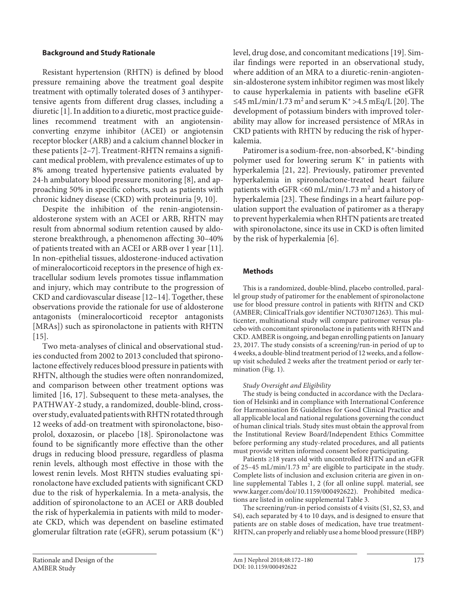### **Background and Study Rationale**

Resistant hypertension (RHTN) is defined by blood pressure remaining above the treatment goal despite treatment with optimally tolerated doses of 3 antihypertensive agents from different drug classes, including a diuretic [1]. In addition to a diuretic, most practice guidelines recommend treatment with an angiotensinconverting enzyme inhibitor (ACEI) or angiotensin receptor blocker (ARB) and a calcium channel blocker in these patients [2–7]. Treatment-RHTN remains a significant medical problem, with prevalence estimates of up to 8% among treated hypertensive patients evaluated by 24-h ambulatory blood pressure monitoring [8], and approaching 50% in specific cohorts, such as patients with chronic kidney disease (CKD) with proteinuria [9, 10].

Despite the inhibition of the renin-angiotensinaldosterone system with an ACEI or ARB, RHTN may result from abnormal sodium retention caused by aldosterone breakthrough, a phenomenon affecting 30–40% of patients treated with an ACEI or ARB over 1 year [11]. In non-epithelial tissues, aldosterone-induced activation of mineralocorticoid receptors in the presence of high extracellular sodium levels promotes tissue inflammation and injury, which may contribute to the progression of CKD and cardiovascular disease [12–14]. Together, these observations provide the rationale for use of aldosterone antagonists (mineralocorticoid receptor antagonists [MRAs]) such as spironolactone in patients with RHTN  $[15]$ .

Two meta-analyses of clinical and observational studies conducted from 2002 to 2013 concluded that spironolactone effectively reduces blood pressure in patients with RHTN, although the studies were often nonrandomized, and comparison between other treatment options was limited [16, 17]. Subsequent to these meta-analyses, the PATHWAY-2 study, a randomized, double-blind, crossover study, evaluated patients with RHTN rotated through 12 weeks of add-on treatment with spironolactone, bisoprolol, doxazosin, or placebo [18]. Spironolactone was found to be significantly more effective than the other drugs in reducing blood pressure, regardless of plasma renin levels, although most effective in those with the lowest renin levels. Most RHTN studies evaluating spironolactone have excluded patients with significant CKD due to the risk of hyperkalemia. In a meta-analysis, the addition of spironolactone to an ACEI or ARB doubled the risk of hyperkalemia in patients with mild to moderate CKD, which was dependent on baseline estimated glomerular filtration rate (eGFR), serum potassium  $(K^+)$ 

level, drug dose, and concomitant medications [19]. Similar findings were reported in an observational study, where addition of an MRA to a diuretic-renin-angiotensin-aldosterone system inhibitor regimen was most likely to cause hyperkalemia in patients with baseline eGFR ≤45 mL/min/1.73 m<sup>2</sup> and serum K<sup>+</sup> >4.5 mEq/L [20]. The development of potassium binders with improved tolerability may allow for increased persistence of MRAs in CKD patients with RHTN by reducing the risk of hyperkalemia.

Patiromer is a sodium-free, non-absorbed, K+-binding polymer used for lowering serum  $K^+$  in patients with hyperkalemia [21, 22]. Previously, patiromer prevented hyperkalemia in spironolactone-treated heart failure patients with eGFR <60 mL/min/1.73  $m^2$  and a history of hyperkalemia [23]. These findings in a heart failure population support the evaluation of patiromer as a therapy to prevent hyperkalemia when RHTN patients are treated with spironolactone, since its use in CKD is often limited by the risk of hyperkalemia [6].

## **Methods**

This is a randomized, double-blind, placebo controlled, parallel group study of patiromer for the enablement of spironolactone use for blood pressure control in patients with RHTN and CKD (AMBER; ClinicalTrials.gov identifier NCT03071263). This multicenter, multinational study will compare patiromer versus placebo with concomitant spironolactone in patients with RHTN and CKD. AMBER is ongoing, and began enrolling patients on January 23, 2017. The study consists of a screening/run-in period of up to 4 weeks, a double-blind treatment period of 12 weeks, and a followup visit scheduled 2 weeks after the treatment period or early termination (Fig. 1).

#### *Study Oversight and Eligibility*

The study is being conducted in accordance with the Declaration of Helsinki and in compliance with International Conference for Harmonisation E6 Guidelines for Good Clinical Practice and all applicable local and national regulations governing the conduct of human clinical trials. Study sites must obtain the approval from the Institutional Review Board/Independent Ethics Committee before performing any study-related procedures, and all patients must provide written informed consent before participating.

Patients ≥18 years old with uncontrolled RHTN and an eGFR of 25-45 mL/min/1.73  $m^2$  are eligible to participate in the study. Complete lists of inclusion and exclusion criteria are given in online supplemental Tables 1, 2 (for all online suppl. material, see www.karger.com/doi/10.1159/000492622). Prohibited medications are listed in online supplemental Table 3.

The screening/run-in period consists of 4 visits (S1, S2, S3, and S4), each separated by 4 to 10 days, and is designed to ensure that patients are on stable doses of medication, have true treatment-RHTN, can properly and reliably use a home blood pressure (HBP)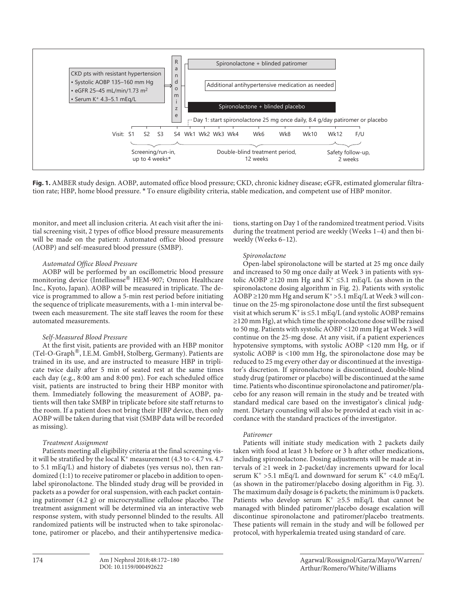

**Fig. 1.** AMBER study design. AOBP, automated office blood pressure; CKD, chronic kidney disease; eGFR, estimated glomerular filtration rate; HBP, home blood pressure. \* To ensure eligibility criteria, stable medication, and competent use of HBP monitor.

monitor, and meet all inclusion criteria. At each visit after the initial screening visit, 2 types of office blood pressure measurements will be made on the patient: Automated office blood pressure (AOBP) and self-measured blood pressure (SMBP).

#### *Automated Office Blood Pressure*

AOBP will be performed by an oscillometric blood pressure monitoring device (Intellisense<sup>®</sup> HEM-907; Omron Healthcare Inc., Kyoto, Japan). AOBP will be measured in triplicate. The device is programmed to allow a 5-min rest period before initiating the sequence of triplicate measurements, with a 1-min interval between each measurement. The site staff leaves the room for these automated measurements.

#### *Self-Measured Blood Pressure*

At the first visit, patients are provided with an HBP monitor (Tel-O-Graph®, I.E.M. GmbH, Stolberg, Germany). Patients are trained in its use, and are instructed to measure HBP in triplicate twice daily after 5 min of seated rest at the same times each day (e.g., 8:00 am and 8:00 pm). For each scheduled office visit, patients are instructed to bring their HBP monitor with them. Immediately following the measurement of AOBP, patients will then take SMBP in triplicate before site staff returns to the room. If a patient does not bring their HBP device, then only AOBP will be taken during that visit (SMBP data will be recorded as missing).

#### *Treatment Assignment*

Patients meeting all eligibility criteria at the final screening visit will be stratified by the local  $K^+$  measurement (4.3 to <4.7 vs. 4.7 to 5.1 mEq/L) and history of diabetes (yes versus no), then randomized (1:1) to receive patiromer or placebo in addition to openlabel spironolactone. The blinded study drug will be provided in packets as a powder for oral suspension, with each packet containing patiromer (4.2 g) or microcrystalline cellulose placebo. The treatment assignment will be determined via an interactive web response system, with study personnel blinded to the results. All randomized patients will be instructed when to take spironolactone, patiromer or placebo, and their antihypertensive medications, starting on Day 1 of the randomized treatment period. Visits during the treatment period are weekly (Weeks 1–4) and then biweekly (Weeks 6–12).

#### *Spironolactone*

Open-label spironolactone will be started at 25 mg once daily and increased to 50 mg once daily at Week 3 in patients with systolic AOBP ≥120 mm Hg and  $K^+$  ≤5.1 mEq/L (as shown in the spironolactone dosing algorithm in Fig. 2). Patients with systolic AOBP  $\geq$ 120 mm Hg and serum K<sup>+</sup> > 5.1 mEq/L at Week 3 will continue on the 25-mg spironolactone dose until the first subsequent visit at which serum  $K^+$  is  $\leq$ 5.1 mEq/L (and systolic AOBP remains ≥120 mm Hg), at which time the spironolactone dose will be raised to 50 mg. Patients with systolic AOBP <120 mm Hg at Week 3 will continue on the 25-mg dose. At any visit, if a patient experiences hypotensive symptoms, with systolic AOBP <120 mm Hg, or if systolic AOBP is <100 mm Hg, the spironolactone dose may be reduced to 25 mg every other day or discontinued at the investigator's discretion. If spironolactone is discontinued, double-blind study drug (patiromer or placebo) will be discontinued at the same time. Patients who discontinue spironolactone and patiromer/placebo for any reason will remain in the study and be treated with standard medical care based on the investigator's clinical judgment. Dietary counseling will also be provided at each visit in accordance with the standard practices of the investigator.

#### *Patiromer*

Patients will initiate study medication with 2 packets daily taken with food at least 3 h before or 3 h after other medications, including spironolactone. Dosing adjustments will be made at intervals of ≥1 week in 2-packet/day increments upward for local serum K<sup>+</sup> >5.1 mEq/L and downward for serum K<sup>+</sup> <4.0 mEq/L (as shown in the patiromer/placebo dosing algorithm in Fig. 3). The maximum daily dosage is 6 packets; the minimum is 0 packets. Patients who develop serum K<sup>+</sup> ≥5.5 mEq/L that cannot be managed with blinded patiromer/placebo dosage escalation will discontinue spironolactone and patiromer/placebo treatments. These patients will remain in the study and will be followed per protocol, with hyperkalemia treated using standard of care.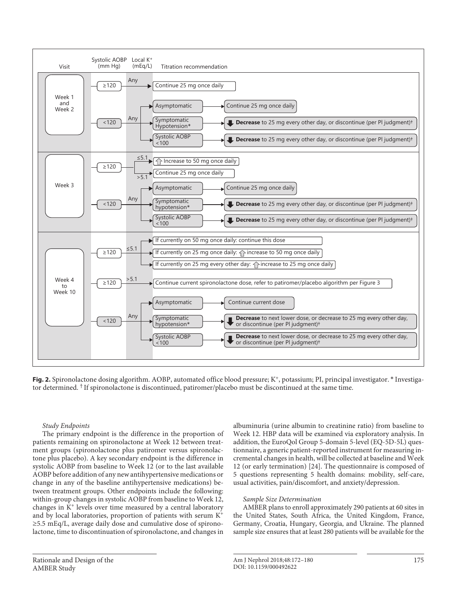

**Fig. 2.** Spironolactone dosing algorithm. AOBP, automated office blood pressure; K<sup>+</sup>, potassium; PI, principal investigator. \* Investigator determined. † If spironolactone is discontinued, patiromer/placebo must be discontinued at the same time.

#### *Study Endpoints*

The primary endpoint is the difference in the proportion of patients remaining on spironolactone at Week 12 between treatment groups (spironolactone plus patiromer versus spironolactone plus placebo). A key secondary endpoint is the difference in systolic AOBP from baseline to Week 12 (or to the last available AOBP before addition of any new antihypertensive medications or change in any of the baseline antihypertensive medications) between treatment groups. Other endpoints include the following: within-group changes in systolic AOBP from baseline to Week 12, changes in K+ levels over time measured by a central laboratory and by local laboratories, proportion of patients with serum K+ ≥5.5 mEq/L, average daily dose and cumulative dose of spironolactone, time to discontinuation of spironolactone, and changes in

albuminuria (urine albumin to creatinine ratio) from baseline to Week 12. HBP data will be examined via exploratory analysis. In addition, the EuroQol Group 5-domain 5-level (EQ-5D-5L) questionnaire, a generic patient-reported instrument for measuring incremental changes in health, will be collected at baseline and Week 12 (or early termination) [24]. The questionnaire is composed of 5 questions representing 5 health domains: mobility, self-care, usual activities, pain/discomfort, and anxiety/depression.

#### *Sample Size Determination*

AMBER plans to enroll approximately 290 patients at 60 sites in the United States, South Africa, the United Kingdom, France, Germany, Croatia, Hungary, Georgia, and Ukraine. The planned sample size ensures that at least 280 patients will be available for the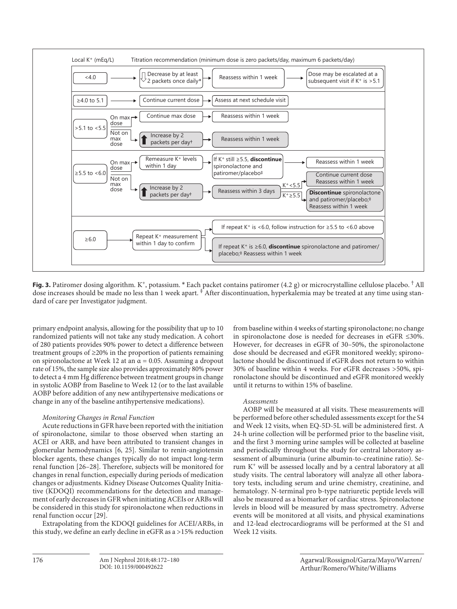

**Fig. 3.** Patiromer dosing algorithm. K+, potassium. \* Each packet contains patiromer (4.2 g) or microcrystalline cellulose placebo. †All dose increases should be made no less than 1 week apart. ‡ After discontinuation, hyperkalemia may be treated at any time using standard of care per Investigator judgment.

primary endpoint analysis, allowing for the possibility that up to 10 randomized patients will not take any study medication. A cohort of 280 patients provides 90% power to detect a difference between treatment groups of ≥20% in the proportion of patients remaining on spironolactone at Week 12 at an  $\alpha$  = 0.05. Assuming a dropout rate of 15%, the sample size also provides approximately 80% power to detect a 4 mm Hg difference between treatment groups in change in systolic AOBP from Baseline to Week 12 (or to the last available AOBP before addition of any new antihypertensive medications or change in any of the baseline antihypertensive medications).

#### *Monitoring Changes in Renal Function*

Acute reductions in GFR have been reported with the initiation of spironolactone, similar to those observed when starting an ACEI or ARB, and have been attributed to transient changes in glomerular hemodynamics [6, 25]. Similar to renin-angiotensin blocker agents, these changes typically do not impact long-term renal function [26–28]. Therefore, subjects will be monitored for changes in renal function, especially during periods of medication changes or adjustments. Kidney Disease Outcomes Quality Initiative (KDOQI) recommendations for the detection and management of early decreases in GFR when initiating ACEIs or ARBs will be considered in this study for spironolactone when reductions in renal function occur [29].

Extrapolating from the KDOQI guidelines for ACEI/ARBs, in this study, we define an early decline in eGFR as a >15% reduction

from baseline within 4 weeks of starting spironolactone; no change in spironolactone dose is needed for decreases in eGFR ≤30%. However, for decreases in eGFR of 30–50%, the spironolactone dose should be decreased and eGFR monitored weekly; spironolactone should be discontinued if eGFR does not return to within 30% of baseline within 4 weeks. For eGFR decreases >50%, spironolactone should be discontinued and eGFR monitored weekly until it returns to within 15% of baseline.

#### *Assessments*

AOBP will be measured at all visits. These measurements will be performed before other scheduled assessments except for the S4 and Week 12 visits, when EQ-5D-5L will be administered first. A 24-h urine collection will be performed prior to the baseline visit, and the first 3 morning urine samples will be collected at baseline and periodically throughout the study for central laboratory assessment of albuminuria (urine albumin-to-creatinine ratio). Serum K+ will be assessed locally and by a central laboratory at all study visits. The central laboratory will analyze all other laboratory tests, including serum and urine chemistry, creatinine, and hematology. N-terminal pro b-type natriuretic peptide levels will also be measured as a biomarker of cardiac stress. Spironolactone levels in blood will be measured by mass spectrometry. Adverse events will be monitored at all visits, and physical examinations and 12-lead electrocardiograms will be performed at the S1 and Week 12 visits.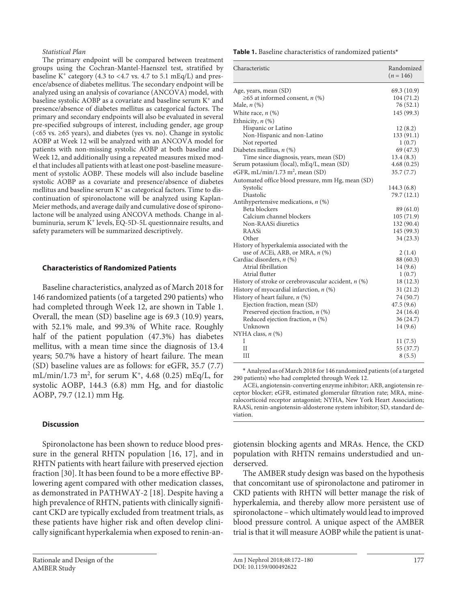#### *Statistical Plan*

The primary endpoint will be compared between treatment groups using the Cochran-Mantel-Haenszel test, stratified by baseline K<sup>+</sup> category (4.3 to <4.7 vs. 4.7 to 5.1 mEq/L) and presence/absence of diabetes mellitus. The secondary endpoint will be analyzed using an analysis of covariance (ANCOVA) model, with baseline systolic AOBP as a covariate and baseline serum K+ and presence/absence of diabetes mellitus as categorical factors. The primary and secondary endpoints will also be evaluated in several pre-specified subgroups of interest, including gender, age group (<65 vs. ≥65 years), and diabetes (yes vs. no). Change in systolic AOBP at Week 12 will be analyzed with an ANCOVA model for patients with non-missing systolic AOBP at both baseline and Week 12, and additionally using a repeated measures mixed model that includes all patients with at least one post-baseline measurement of systolic AOBP. These models will also include baseline systolic AOBP as a covariate and presence/absence of diabetes mellitus and baseline serum  $K<sup>+</sup>$  as categorical factors. Time to discontinuation of spironolactone will be analyzed using Kaplan-Meier methods, and average daily and cumulative dose of spironolactone will be analyzed using ANCOVA methods. Change in albuminuria, serum K+ levels, EQ-5D-5L questionnaire results, and safety parameters will be summarized descriptively.

#### **Characteristics of Randomized Patients**

Baseline characteristics, analyzed as of March 2018 for 146 randomized patients (of a targeted 290 patients) who had completed through Week 12, are shown in Table 1. Overall, the mean (SD) baseline age is 69.3 (10.9) years, with 52.1% male, and 99.3% of White race. Roughly half of the patient population (47.3%) has diabetes mellitus, with a mean time since the diagnosis of 13.4 years; 50.7% have a history of heart failure. The mean (SD) baseline values are as follows: for eGFR, 35.7 (7.7) mL/min/1.73 m<sup>2</sup>, for serum K<sup>+</sup>, 4.68 (0.25) mEq/L, for systolic AOBP, 144.3 (6.8) mm Hg, and for diastolic AOBP, 79.7 (12.1) mm Hg.

#### **Discussion**

Spironolactone has been shown to reduce blood pressure in the general RHTN population [16, 17], and in RHTN patients with heart failure with preserved ejection fraction [30]. It has been found to be a more effective BPlowering agent compared with other medication classes, as demonstrated in PATHWAY-2 [18]. Despite having a high prevalence of RHTN, patients with clinically significant CKD are typically excluded from treatment trials, as these patients have higher risk and often develop clinically significant hyperkalemia when exposed to renin-an**Table 1.** Baseline characteristics of randomized patients\*

| Characteristic                                         | Randomized<br>$(n = 146)$ |
|--------------------------------------------------------|---------------------------|
| Age, years, mean (SD)                                  | 69.3 (10.9)               |
| $\geq$ 65 at informed consent, <i>n</i> (%)            | 104(71.2)                 |
| Male, $n$ (%)                                          | 76 (52.1)                 |
| White race, $n$ $(\%)$                                 | 145 (99.3)                |
| Ethnicity, $n$ $(\%)$                                  |                           |
| Hispanic or Latino                                     | 12(8.2)                   |
| Non-Hispanic and non-Latino                            | 133(91.1)                 |
| Not reported                                           | 1(0.7)                    |
| Diabetes mellitus, $n$ (%)                             | 69 (47.3)                 |
| Time since diagnosis, years, mean (SD)                 | 13.4(8.3)                 |
| Serum potassium (local), mEq/L, mean (SD)              | 4.68(0.25)                |
| eGFR, mL/min/1.73 m <sup>2</sup> , mean (SD)           | 35.7(7.7)                 |
| Automated office blood pressure, mm Hg, mean (SD)      |                           |
| Systolic                                               | 144.3 (6.8)               |
| Diastolic                                              | 79.7 (12.1)               |
| Antihypertensive medications, $n$ (%)                  |                           |
| Beta blockers                                          | 89 (61.0)                 |
| Calcium channel blockers                               | 105(71.9)                 |
| Non-RAASi diuretics                                    | 132 (90.4)                |
| RAASi                                                  | 145 (99.3)                |
| Other                                                  | 34(23.3)                  |
| History of hyperkalemia associated with the            |                           |
| use of ACEi, ARB, or MRA, $n$ (%)                      | 2(1.4)                    |
| Cardiac disorders, n (%)                               | 88 (60.3)                 |
| Atrial fibrillation                                    | 14(9.6)                   |
| Atrial flutter                                         | 1(0.7)                    |
| History of stroke or cerebrovascular accident, $n$ (%) | 18 (12.3)                 |
| History of myocardial infarction, $n$ (%)              | 31(21.2)                  |
| History of heart failure, n (%)                        | 74 (50.7)                 |
| Ejection fraction, mean (SD)                           | 47.5 (9.6)                |
| Preserved ejection fraction, $n$ (%)                   | 24(16.4)                  |
| Reduced ejection fraction, $n$ (%)                     | 36 (24.7)                 |
| Unknown                                                | 14 (9.6)                  |
| NYHA class, $n$ (%)                                    |                           |
| I                                                      | 11(7.5)                   |
| Н                                                      | 55 (37.7)                 |
| Ш                                                      | 8(5.5)                    |

\* Analyzed as of March 2018 for 146 randomized patients (of a targeted 290 patients) who had completed through Week 12.

ACEi, angiotensin-converting enzyme inhibitor; ARB, angiotensin receptor blocker; eGFR, estimated glomerular filtration rate; MRA, mineralocorticoid receptor antagonist; NYHA, New York Heart Association; RAASi, renin-angiotensin-aldosterone system inhibitor; SD, standard deviation.

giotensin blocking agents and MRAs. Hence, the CKD population with RHTN remains understudied and underserved.

The AMBER study design was based on the hypothesis that concomitant use of spironolactone and patiromer in CKD patients with RHTN will better manage the risk of hyperkalemia, and thereby allow more persistent use of spironolactone – which ultimately would lead to improved blood pressure control. A unique aspect of the AMBER trial is that it will measure AOBP while the patient is unat-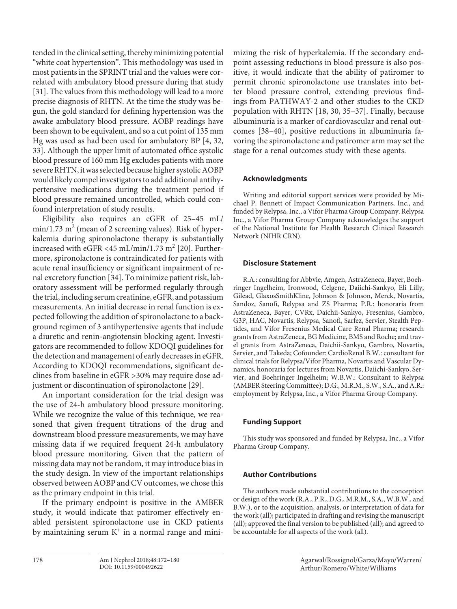tended in the clinical setting, thereby minimizing potential "white coat hypertension". This methodology was used in most patients in the SPRINT trial and the values were correlated with ambulatory blood pressure during that study [31]. The values from this methodology will lead to a more precise diagnosis of RHTN. At the time the study was begun, the gold standard for defining hypertension was the awake ambulatory blood pressure. AOBP readings have been shown to be equivalent, and so a cut point of 135 mm Hg was used as had been used for ambulatory BP [4, 32, 33]. Although the upper limit of automated office systolic blood pressure of 160 mm Hg excludes patients with more severe RHTN, it was selected because higher systolic AOBP would likely compel investigators to add additional antihypertensive medications during the treatment period if blood pressure remained uncontrolled, which could confound interpretation of study results.

Eligibility also requires an eGFR of 25–45 mL/  $\min/1.73$   $\mathrm{m}^2$  (mean of 2 screening values). Risk of hyperkalemia during spironolactone therapy is substantially increased with eGFR <45 mL/min/1.73 m<sup>2</sup> [20]. Furthermore, spironolactone is contraindicated for patients with acute renal insufficiency or significant impairment of renal excretory function [34]. To minimize patient risk, laboratory assessment will be performed regularly through the trial, including serum creatinine, eGFR, and potassium measurements. An initial decrease in renal function is expected following the addition of spironolactone to a background regimen of 3 antihypertensive agents that include a diuretic and renin-angiotensin blocking agent. Investigators are recommended to follow KDOQI guidelines for the detection and management of early decreases in eGFR. According to KDOQI recommendations, significant declines from baseline in eGFR >30% may require dose adjustment or discontinuation of spironolactone [29].

An important consideration for the trial design was the use of 24-h ambulatory blood pressure monitoring. While we recognize the value of this technique, we reasoned that given frequent titrations of the drug and downstream blood pressure measurements, we may have missing data if we required frequent 24-h ambulatory blood pressure monitoring. Given that the pattern of missing data may not be random, it may introduce bias in the study design. In view of the important relationships observed between AOBP and CV outcomes, we chose this as the primary endpoint in this trial.

If the primary endpoint is positive in the AMBER study, it would indicate that patiromer effectively enabled persistent spironolactone use in CKD patients by maintaining serum  $K^+$  in a normal range and minimizing the risk of hyperkalemia. If the secondary endpoint assessing reductions in blood pressure is also positive, it would indicate that the ability of patiromer to permit chronic spironolactone use translates into better blood pressure control, extending previous findings from PATHWAY-2 and other studies to the CKD population with RHTN [18, 30, 35–37]. Finally, because albuminuria is a marker of cardiovascular and renal outcomes [38–40], positive reductions in albuminuria favoring the spironolactone and patiromer arm may set the stage for a renal outcomes study with these agents.

## **Acknowledgments**

Writing and editorial support services were provided by Michael P. Bennett of Impact Communication Partners, Inc., and funded by Relypsa, Inc., a Vifor Pharma Group Company. Relypsa Inc., a Vifor Pharma Group Company acknowledges the support of the National Institute for Health Research Clinical Research Network (NIHR CRN).

## **Disclosure Statement**

R.A.: consulting for Abbvie, Amgen, AstraZeneca, Bayer, Boehringer Ingelheim, Ironwood, Celgene, Daiichi-Sankyo, Eli Lilly, Gilead, GlaxosSmithKline, Johnson & Johnson, Merck, Novartis, Sandoz, Sanofi, Relypsa and ZS Pharma; P.R.: honoraria from AstraZeneca, Bayer, CVRx, Daichii-Sankyo, Fresenius, Gambro, G3P, HAC, Novartis, Relypsa, Sanofi, Sarfez, Servier, Stealth Peptides, and Vifor Fresenius Medical Care Renal Pharma; research grants from AstraZeneca, BG Medicine, BMS and Roche; and travel grants from AstraZeneca, Daichii-Sankyo, Gambro, Novartis, Servier, and Takeda; Cofounder: CardioRenal B.W.: consultant for clinical trials for Relypsa/Vifor Pharma, Novartis and Vascular Dynamics, honoraria for lectures from Novartis, Daiichi-Sankyo, Servier, and Boehringer Ingelheim; W.B.W.: Consultant to Relypsa (AMBER Steering Committee); D.G., M.R.M., S.W., S.A., and A.R.: employment by Relypsa, Inc., a Vifor Pharma Group Company.

## **Funding Support**

This study was sponsored and funded by Relypsa, Inc., a Vifor Pharma Group Company.

## **Author Contributions**

The authors made substantial contributions to the conception or design of the work (R.A., P.R., D.G., M.R.M., S.A., W.B.W., and B.W.), or to the acquisition, analysis, or interpretation of data for the work (all); participated in drafting and revising the manuscript (all); approved the final version to be published (all); and agreed to be accountable for all aspects of the work (all).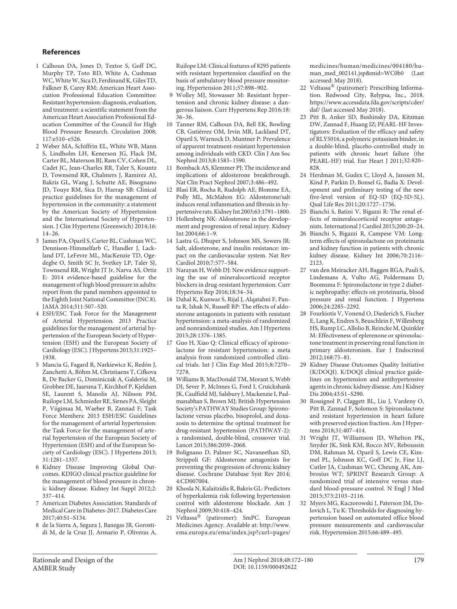#### **References**

- 1 Calhoun DA, Jones D, Textor S, Goff DC, Murphy TP, Toto RD, White A, Cushman WC, White W, Sica D, Ferdinand K, Giles TD, Falkner B, Carey RM; American Heart Association Professional Education Committee: Resistant hypertension: diagnosis, evaluation, and treatment: a scientific statement from the American Heart Association Professional Education Committee of the Council for High Blood Pressure Research. Circulation 2008; 117:e510–e526.
- 2 Weber MA, Schiffrin EL, White WB, Mann S, Lindholm LH, Kenerson JG, Flack JM, Carter BL, Materson BJ, Ram CV, Cohen DL, Cadet JC, Jean-Charles RR, Taler S, Kountz D, Townsend RR, Chalmers J, Ramirez AJ, Bakris GL, Wang J, Schutte AE, Bisognano JD, Touyz RM, Sica D, Harrap SB: Clinical practice guidelines for the management of hypertension in the community: a statement by the American Society of Hypertension and the International Society of Hypertension. J Clin Hypertens (Greenwich) 2014;16: 14–26.
- 3 James PA, Oparil S, Carter BL, Cushman WC, Dennison-Himmelfarb C, Handler J, Lackland DT, LeFevre ML, MacKenzie TD, Ogedegbe O, Smith SC Jr, Svetkey LP, Taler SJ, Townsend RR, Wright JT Jr, Narva AS, Ortiz E: 2014 evidence-based guideline for the management of high blood pressure in adults: report from the panel members appointed to the Eighth Joint National Committee (JNC 8). JAMA 2014;311:507–520.
- 4 ESH/ESC Task Force for the Management of Arterial Hypertension. 2013 Practice guidelines for the management of arterial hypertension of the European Society of Hypertension (ESH) and the European Society of Cardiology (ESC). J Hypertens 2013;31:1925– 1938.
- 5 Mancia G, Fagard R, Narkiewicz K, Redón J, Zanchetti A, Böhm M, Christiaens T, Cifkova R, De Backer G, Dominiczak A, Galderisi M, Grobbee DE, Jaarsma T, Kirchhof P, Kjeldsen SE, Laurent S, Manolis AJ, Nilsson PM, Ruilope LM, Schmieder RE, Sirnes PA, Sleight P, Viigimaa M, Waeber B, Zannad F; Task Force Members: 2013 ESH/ESC Guidelines for the management of arterial hypertension: the Task Force for the management of arterial hypertension of the European Society of Hypertension (ESH) and of the European Society of Cardiology (ESC). J Hypertens 2013; 31:1281–1357.
- 6 Kidney Disease Improving Global Outcomes. KDIGO clinical practice guideline for the management of blood pressure in chronic kidney disease. Kidney Int Suppl 2012;2: 337–414.
- 7 American Diabetes Association. Standards of Medical Care in Diabetes-2017. Diabetes Care 2017;40:S1–S134.
- 8 de la Sierra A, Segura J, Banegas JR, Gorostidi M, de la Cruz JJ, Armario P, Oliveras A,

Ruilope LM: Clinical features of 8295 patients with resistant hypertension classified on the basis of ambulatory blood pressure monitoring. Hypertension 2011;57:898–902.

- 9 Wolley MJ, Stowasser M: Resistant hypertension and chronic kidney disease: a dangerous liaison. Curr Hypertens Rep 2016;18: 36–36.
- 10 Tanner RM, Calhoun DA, Bell EK, Bowling CB, Gutiérrez OM, Irvin MR, Lackland DT, Oparil S, Warnock D, Muntner P: Prevalence of apparent treatment-resistant hypertension among individuals with CKD. Clin J Am Soc Nephrol 2013;8:1583–1590.
- 11 Bomback AS, Klemmer PJ: The incidence and implications of aldosterone breakthrough. Nat Clin Pract Nephrol 2007;3:486–492.
- 12 Blasi ER, Rocha R, Rudolph AE, Blomme EA, Polly ML, McMahon EG: Aldosterone/salt induces renal inflammation and fibrosis in hypertensive rats. Kidney Int 2003;63:1791–1800.
- 13 Hollenberg NK: Aldosterone in the development and progression of renal injury. Kidney Int 2004;66:1–9.
- 14 Lastra G, Dhuper S, Johnson MS, Sowers JR: Salt, aldosterone, and insulin resistance: impact on the cardiovascular system. Nat Rev Cardiol 2010;7:577–584.
- 15 Narayan H, Webb DJ: New evidence supporting the use of mineralocorticoid receptor blockers in drug-resistant hypertension. Curr Hypertens Rep 2016;18:34–34.
- 16 Dahal K, Kunwar S, Rijal J, Alqatahni F, Panta R, Ishak N, Russell RP: The effects of aldosterone antagonists in patients with resistant hypertension: a meta-analysis of randomized and nonrandomized studies. Am J Hypertens 2015;28:1376–1385.
- 17 Guo H, Xiao Q: Clinical efficacy of spironolactone for resistant hypertension: a meta analysis from randomized controlled clinical trials. Int J Clin Exp Med 2015;8:7270– 7278.
- 18 Williams B, MacDonald TM, Morant S, Webb DJ, Sever P, McInnes G, Ford I, Cruickshank JK, Caulfield MJ, Salsbury J, Mackenzie I, Padmanabhan S, Brown MJ; British Hypertension Society's PATHWAY Studies Group: Spironolactone versus placebo, bisoprolol, and doxazosin to determine the optimal treatment for drug-resistant hypertension (PATHWAY-2): a randomised, double-blind, crossover trial. Lancet 2015;386:2059–2068.
- 19 Bolignano D, Palmer SC, Navaneethan SD, Strippoli GF: Aldosterone antagonists for preventing the progression of chronic kidney disease. Cochrane Database Syst Rev 2014; 4:CD007004.
- 20 Khosla N, Kalaitzidis R, Bakris GL: Predictors of hyperkalemia risk following hypertension control with aldosterone blockade. Am J Nephrol 2009;30:418–424.
- 21 Veltassa® (patiromer): SmPC. European Medicines Agency. Available at: http://www. ema.europa.eu/ema/index.jsp?curl=pages/

medicines/human/medicines/004180/human\_med\_002141.jsp&mid=WC0b0 (Last accessed: May 2018).

- 22 Veltassa® (patiromer): Prescribing Information. Redwood City, Relypsa, Inc., 2018. https://www.accessdata.fda.gov/scripts/cder/ daf/ (last accessed May 2018).
- 23 Pitt B, Anker SD, Bushinsky DA, Kitzman DW, Zannad F, Huang IZ; PEARL-HF Investigators: Evaluation of the efficacy and safety of RLY5016, a polymeric potassium binder, in a double-blind, placebo-controlled study in patients with chronic heart failure (the PEARL-HF) trial. Eur Heart J 2011;32:820– 828.
- 24 Herdman M, Gudex C, Lloyd A, Janssen M, Kind P, Parkin D, Bonsel G, Badia X: Development and preliminary testing of the new five-level version of EQ-5D (EQ-5D-5L). Qual Life Res 2011;20:1727–1736.
- 25 Bianchi S, Batini V, Bigazzi R: The renal effects of mineralocorticoid receptor antagonists. International J Cardiol 2015;200:20–24.
- 26 Bianchi S, Bigazzi R, Campese VM: Longterm effects of spironolactone on proteinuria and kidney function in patients with chronic kidney disease. Kidney Int 2006;70:2116– 2123.
- 27 van den Meiracker AH, Baggen RGA, Pauli S, Lindemans A, Vulto AG, Poldermans D, Boomsma F: Spironolactone in type 2 diabetic nephropathy: effects on proteinuria, blood pressure and renal function. J Hypertens 2006;24:2285–2292.
- 28 Fourkiotis V, Vonend O, Diederich S, Fischer E, Lang K, Endres S, Beuschlein F, Willenberg HS, Rump LC, Allolio B, Reincke M, Quinkler M: Effectiveness of eplerenone or spironolactone treatment in preserving renal function in primary aldosteronism. Eur J Endocrinol 2012;168:75–81.
- 29 Kidney Disease Outcomes Quality Initiative (K/DOQI). K/DOQI clinical practice guidelines on hypertension and antihypertensive agents in chronic kidney disease. Am J Kidney Dis 2004;43:S1–S290.
- 30 Rossignol P, Claggett BL, Liu J, Vardeny O, Pitt B, Zannad F, Solomon S: Spironolactone and resistant hypertension in heart failure with preserved ejection fraction. Am J Hypertens 2018;31:407–414.
- 31 Wright JT, Williamson JD, Whelton PK, Snyder JK, Sink KM, Rocco MV, Reboussin DM, Rahman M, Oparil S, Lewis CE, Kimmel PL, Johnson KC, Goff DC Jr, Fine LJ, Cutler JA, Cushman WC, Cheung AK, Ambrosius WT; SPRINT Research Group: A randomized trial of intensive versus standard blood-pressure control. N Engl J Med 2015;373:2103–2116.
- 32 Myers MG, Kaczorowski J, Paterson JM, Dolovich L, Tu K: Thresholds for diagnosing hypertension based on automated office blood pressure measurements and cardiovascular risk. Hypertension 2015;66:489–495.